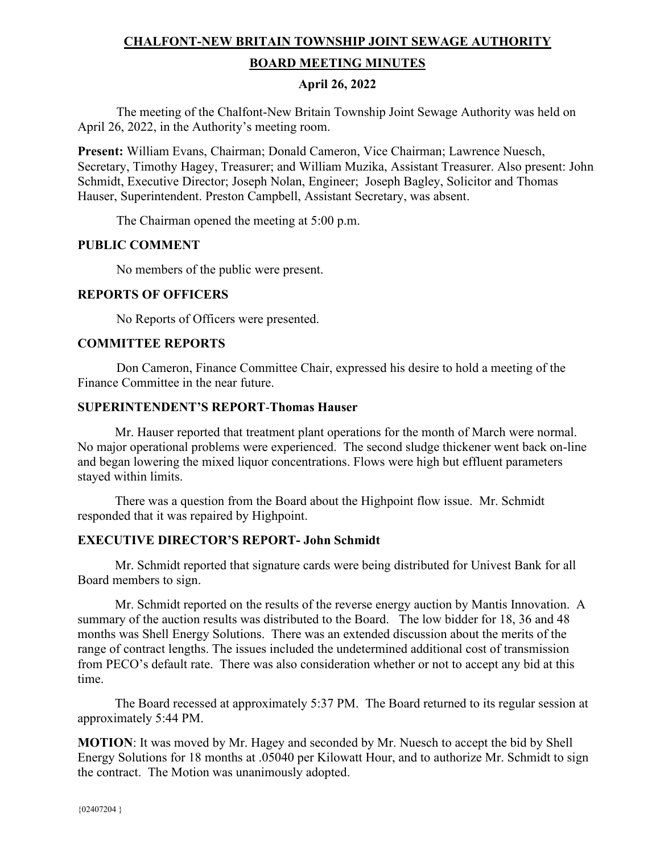# **CHALFONT-NEW BRITAIN TOWNSHIP JOINT SEWAGE AUTHORITY BOARD MEETING MINUTES**

## **April 26, 2022**

The meeting of the Chalfont-New Britain Township Joint Sewage Authority was held on April 26, 2022, in the Authority's meeting room.

**Present:** William Evans, Chairman; Donald Cameron, Vice Chairman; Lawrence Nuesch, Secretary, Timothy Hagey, Treasurer; and William Muzika, Assistant Treasurer. Also present: John Schmidt, Executive Director; Joseph Nolan, Engineer; Joseph Bagley, Solicitor and Thomas Hauser, Superintendent. Preston Campbell, Assistant Secretary, was absent.

The Chairman opened the meeting at 5:00 p.m.

## **PUBLIC COMMENT**

No members of the public were present.

## **REPORTS OF OFFICERS**

No Reports of Officers were presented.

## **COMMITTEE REPORTS**

Don Cameron, Finance Committee Chair, expressed his desire to hold a meeting of the Finance Committee in the near future.

## **SUPERINTENDENT'S REPORT**-**Thomas Hauser**

Mr. Hauser reported that treatment plant operations for the month of March were normal. No major operational problems were experienced. The second sludge thickener went back on-line and began lowering the mixed liquor concentrations. Flows were high but effluent parameters stayed within limits.

 There was a question from the Board about the Highpoint flow issue. Mr. Schmidt responded that it was repaired by Highpoint.

## **EXECUTIVE DIRECTOR'S REPORT- John Schmidt**

 Mr. Schmidt reported that signature cards were being distributed for Univest Bank for all Board members to sign.

 Mr. Schmidt reported on the results of the reverse energy auction by Mantis Innovation. A summary of the auction results was distributed to the Board. The low bidder for 18, 36 and 48 months was Shell Energy Solutions. There was an extended discussion about the merits of the range of contract lengths. The issues included the undetermined additional cost of transmission from PECO's default rate. There was also consideration whether or not to accept any bid at this time.

 The Board recessed at approximately 5:37 PM. The Board returned to its regular session at approximately 5:44 PM.

**MOTION**: It was moved by Mr. Hagey and seconded by Mr. Nuesch to accept the bid by Shell Energy Solutions for 18 months at .05040 per Kilowatt Hour, and to authorize Mr. Schmidt to sign the contract. The Motion was unanimously adopted.